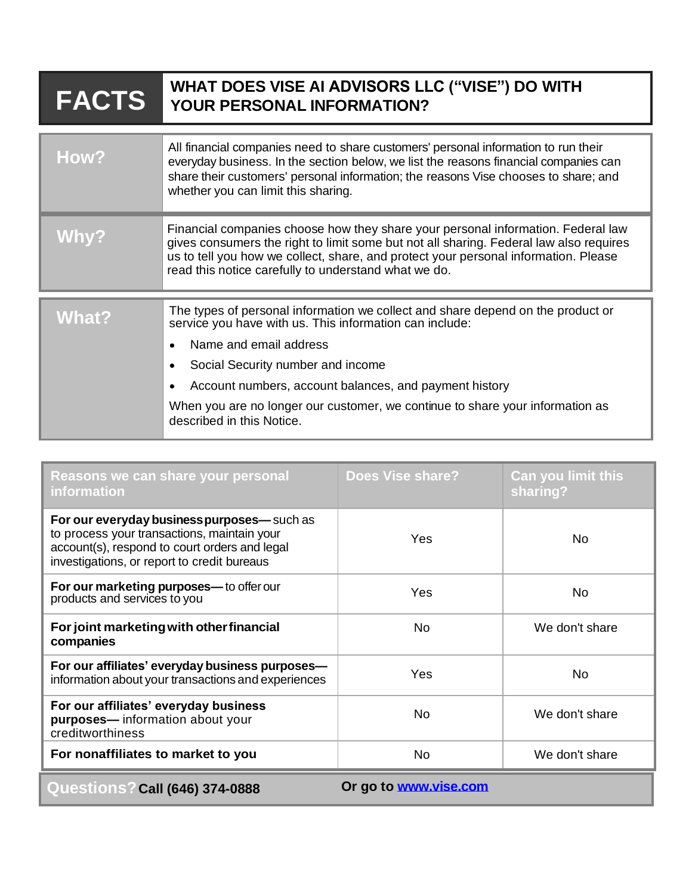## **WHAT DOES VISE AI ADVISORS LLC ("VISE") DO WITH FACTS YOUR PERSONAL INFORMATION?**

| <b>How?</b>  | All financial companies need to share customers' personal information to run their<br>everyday business. In the section below, we list the reasons financial companies can<br>share their customers' personal information; the reasons Vise chooses to share; and<br>whether you can limit this sharing.                                                                          |
|--------------|-----------------------------------------------------------------------------------------------------------------------------------------------------------------------------------------------------------------------------------------------------------------------------------------------------------------------------------------------------------------------------------|
| Why?         | Financial companies choose how they share your personal information. Federal law<br>gives consumers the right to limit some but not all sharing. Federal law also requires<br>us to tell you how we collect, share, and protect your personal information. Please<br>read this notice carefully to understand what we do.                                                         |
| <b>What?</b> | The types of personal information we collect and share depend on the product or<br>service you have with us. This information can include:<br>Name and email address<br>Social Security number and income<br>Account numbers, account balances, and payment history<br>When you are no longer our customer, we continue to share your information as<br>described in this Notice. |

| Reasons we can share your personal<br><b>information</b>                                                                                                                                   | <b>Does Vise share?</b> | <b>Can you limit this</b><br>sharing? |  |
|--------------------------------------------------------------------------------------------------------------------------------------------------------------------------------------------|-------------------------|---------------------------------------|--|
| For our everyday business purposes— such as<br>to process your transactions, maintain your<br>account(s), respond to court orders and legal<br>investigations, or report to credit bureaus | Yes                     | No.                                   |  |
| For our marketing purposes-to offer our<br>products and services to you                                                                                                                    | Yes                     | <b>No</b>                             |  |
| For joint marketing with other financial<br>companies                                                                                                                                      | No.                     | We don't share                        |  |
| For our affiliates' everyday business purposes-<br>information about your transactions and experiences                                                                                     | Yes                     | No.                                   |  |
| For our affiliates' everyday business<br>purposes-information about your<br>creditworthiness                                                                                               | No.                     | We don't share                        |  |
| For nonaffiliates to market to you                                                                                                                                                         | No.                     | We don't share                        |  |
| Or go to www.vise.com<br><b>Questions? Call (646) 374-0888</b>                                                                                                                             |                         |                                       |  |